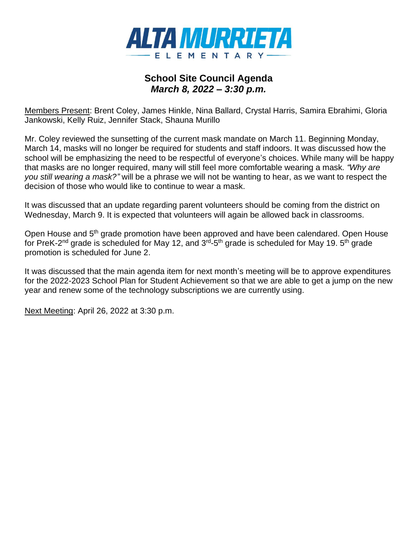

### **School Site Council Agenda** *March 8, 2022 – 3:30 p.m.*

Members Present: Brent Coley, James Hinkle, Nina Ballard, Crystal Harris, Samira Ebrahimi, Gloria Jankowski, Kelly Ruiz, Jennifer Stack, Shauna Murillo

Mr. Coley reviewed the sunsetting of the current mask mandate on March 11. Beginning Monday, March 14, masks will no longer be required for students and staff indoors. It was discussed how the school will be emphasizing the need to be respectful of everyone's choices. While many will be happy that masks are no longer required, many will still feel more comfortable wearing a mask. *"Why are you still wearing a mask?"* will be a phrase we will not be wanting to hear, as we want to respect the decision of those who would like to continue to wear a mask.

It was discussed that an update regarding parent volunteers should be coming from the district on Wednesday, March 9. It is expected that volunteers will again be allowed back in classrooms.

Open House and 5<sup>th</sup> grade promotion have been approved and have been calendared. Open House for PreK-2<sup>nd</sup> grade is scheduled for May 12, and 3<sup>rd</sup>-5<sup>th</sup> grade is scheduled for May 19. 5<sup>th</sup> grade promotion is scheduled for June 2.

It was discussed that the main agenda item for next month's meeting will be to approve expenditures for the 2022-2023 School Plan for Student Achievement so that we are able to get a jump on the new year and renew some of the technology subscriptions we are currently using.

Next Meeting: April 26, 2022 at 3:30 p.m.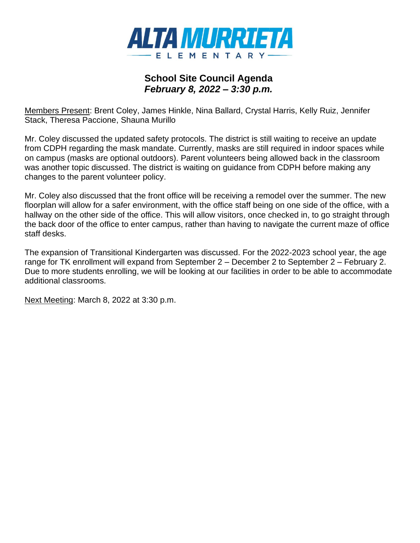

### **School Site Council Agenda** *February 8, 2022 – 3:30 p.m.*

Members Present: Brent Coley, James Hinkle, Nina Ballard, Crystal Harris, Kelly Ruiz, Jennifer Stack, Theresa Paccione, Shauna Murillo

Mr. Coley discussed the updated safety protocols. The district is still waiting to receive an update from CDPH regarding the mask mandate. Currently, masks are still required in indoor spaces while on campus (masks are optional outdoors). Parent volunteers being allowed back in the classroom was another topic discussed. The district is waiting on guidance from CDPH before making any changes to the parent volunteer policy.

Mr. Coley also discussed that the front office will be receiving a remodel over the summer. The new floorplan will allow for a safer environment, with the office staff being on one side of the office, with a hallway on the other side of the office. This will allow visitors, once checked in, to go straight through the back door of the office to enter campus, rather than having to navigate the current maze of office staff desks.

The expansion of Transitional Kindergarten was discussed. For the 2022-2023 school year, the age range for TK enrollment will expand from September 2 – December 2 to September 2 – February 2. Due to more students enrolling, we will be looking at our facilities in order to be able to accommodate additional classrooms.

Next Meeting: March 8, 2022 at 3:30 p.m.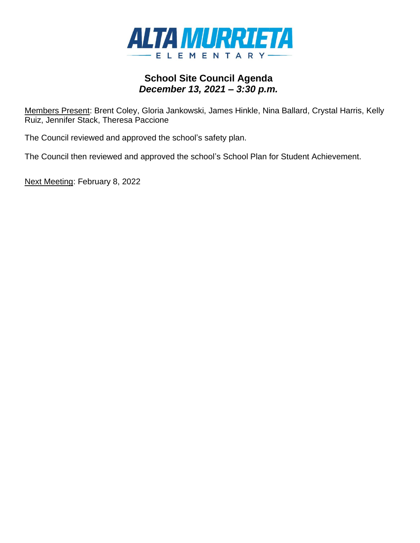

## **School Site Council Agenda** *December 13, 2021 – 3:30 p.m.*

Members Present: Brent Coley, Gloria Jankowski, James Hinkle, Nina Ballard, Crystal Harris, Kelly Ruiz, Jennifer Stack, Theresa Paccione

The Council reviewed and approved the school's safety plan.

The Council then reviewed and approved the school's School Plan for Student Achievement.

Next Meeting: February 8, 2022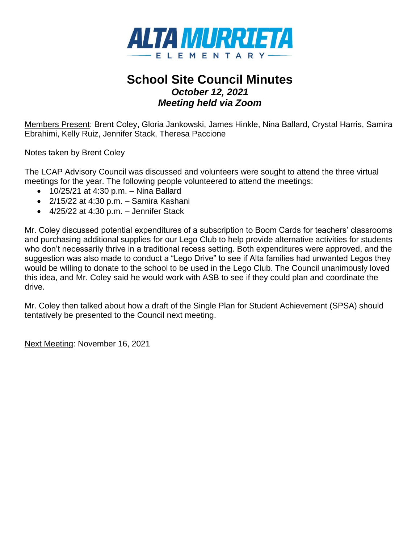

# **School Site Council Minutes** *October 12, 2021 Meeting held via Zoom*

Members Present: Brent Coley, Gloria Jankowski, James Hinkle, Nina Ballard, Crystal Harris, Samira Ebrahimi, Kelly Ruiz, Jennifer Stack, Theresa Paccione

Notes taken by Brent Coley

The LCAP Advisory Council was discussed and volunteers were sought to attend the three virtual meetings for the year. The following people volunteered to attend the meetings:

- 10/25/21 at 4:30 p.m. Nina Ballard
- $\bullet$  2/15/22 at 4:30 p.m. Samira Kashani
- $\bullet$  4/25/22 at 4:30 p.m. Jennifer Stack

Mr. Coley discussed potential expenditures of a subscription to Boom Cards for teachers' classrooms and purchasing additional supplies for our Lego Club to help provide alternative activities for students who don't necessarily thrive in a traditional recess setting. Both expenditures were approved, and the suggestion was also made to conduct a "Lego Drive" to see if Alta families had unwanted Legos they would be willing to donate to the school to be used in the Lego Club. The Council unanimously loved this idea, and Mr. Coley said he would work with ASB to see if they could plan and coordinate the drive.

Mr. Coley then talked about how a draft of the Single Plan for Student Achievement (SPSA) should tentatively be presented to the Council next meeting.

Next Meeting: November 16, 2021